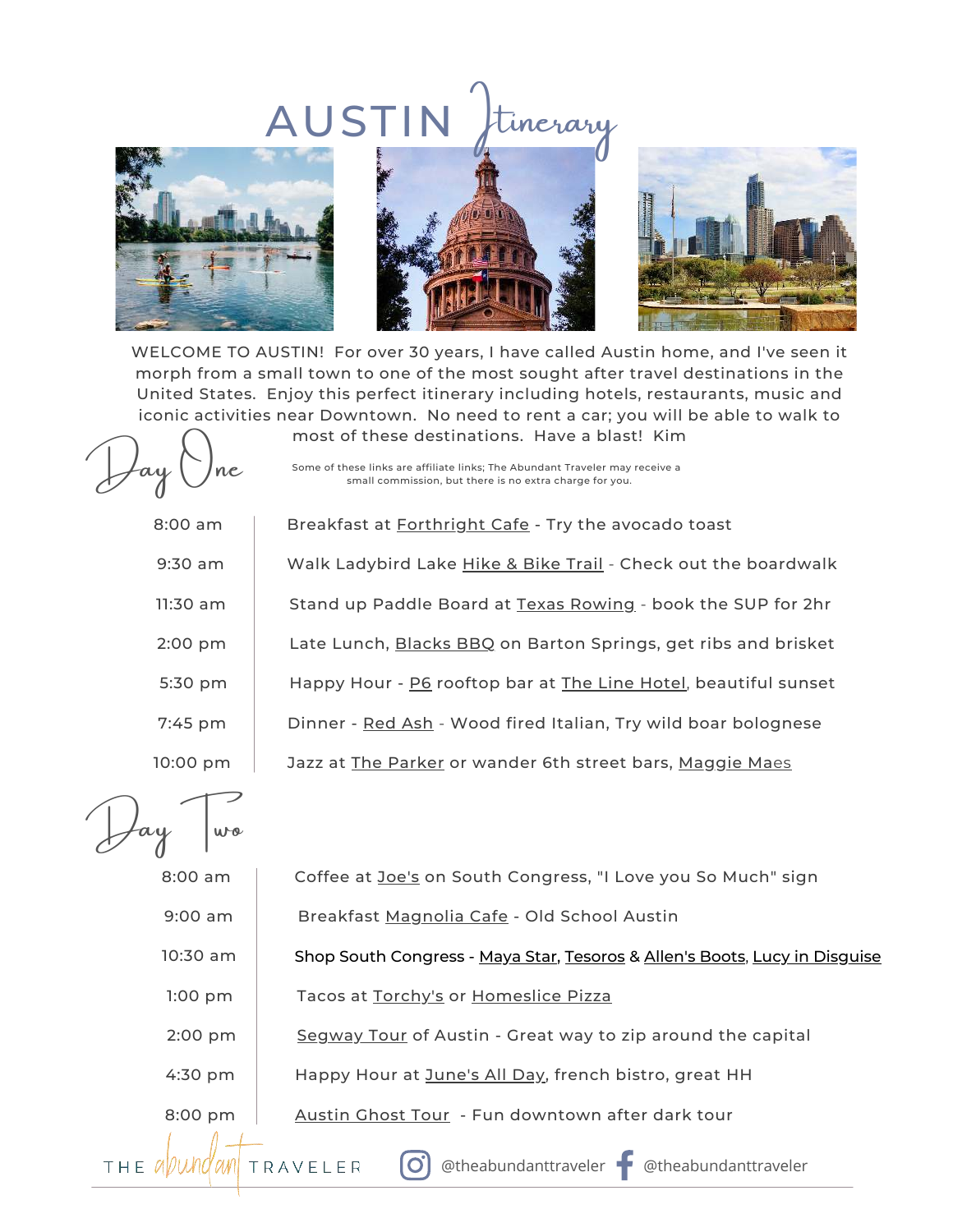## AUSTIN Stinerary







WELCOME TO AUSTIN! For over 30 years, I have called Austin home, and I've seen it morph from a small town to one of the most sought after travel destinations in the United States. Enjoy this perfect itinerary including hotels, restaurants, music and iconic activities near Downtown. No need to rent a car; you will be able to walk to

Day One

Some of these links are affiliate links; The Abundant Traveler may receive a small commission, but there is no extra charge for you.

most of these destinations. Have a blast! Kim

8:00 am

Breakfast at [Forthright Cafe](https://www.forthright.cafe/) - Try the avocado toast 9:30 am Walk Ladybird Lake [Hike & Bike Trail](https://www.austintexas.gov/department/ann-and-roy-butler-hike-and-bike-trail-and-boardwalk-lady-bird-lake) - Check out the boardwalk 11:30 am  $\parallel$  Stand up Paddle Board at [Texas Rowing](https://www.texasrowingcenter.com/) - book the SUP for 2hr 2:00 pm Late Lunch, [Blacks BBQ](https://www.terryblacksbbq.com/) on Barton Springs, get ribs and brisket 5:30 pm | Happy Hour - [P6](https://www.thelinehotel.com/austin/bars-restaurants/#p6) rooftop bar at [The Line Hotel](https://www.jdoqocy.com/click-9185064-13828058?url=https%3A%2F%2Fwww.hotels.com%2Fho743198912%2F%3Fq-rooms%3D1), beautiful sunset 7:45 pm | Dinner - [Red Ash](http://www.redashgrill.com/) - Wood fired Italian, Try wild boar bolognese 10:00 pm Jazz at [The Parker](https://www.parkerjazzclub.com/) or wander 6th street bars, [Maggie Ma](http://www.maggiemaesaustin.com/)[es](http://www.maggiemaesaustin.com/)

Jay Jwo

8:00 am Coffee at [Joe's](https://www.joscoffee.com/) on South Congress, "I Love you So Much" sign

9:00 am | Breakfast [Magnolia Cafe](http://www.magnoliacafeaustin.com/) - Old School Austin

10:30 am 1:00 pm Tacos at [Torchy's](https://torchystacos.com/) or [Homeslice Pizza](https://homeslicepizza.com/location/south-congress/) Shop South Congress - [Maya Star](http://www.mayastar.com/), [Tesoros](http://www.tesoros.com/homepage.html) & [Allen's Boots](https://www.allensboots.com/?utm_source=google&utm_medium=organic&utm_campaign=feed), [Lucy in Disguise](http://lucyindisguise.com/)

2:00 pm [Segway Tour](https://tidd.ly/3CNY05K) of Austin - Great way to zip around the capital

4:30 pm | Happy Hour at [June's All Day](https://junesallday.com/), french bistro, great HH

8:00 pm | [Austin Ghost Tour](https://tidd.ly/3AKZ60i) - Fun downtown after dark tour

<u>JUNE 28, 2020 MORRIS FAMILY AND THE CONTRACT OF THE CONTRACT OF THE CONTRACT OF THE CONTRACT OF THE CONTRACT OF THE CONTRACT OF THE CONTRACT OF THE CONTRACT OF THE CONTRACT OF THE CONTRACT OF THE CONTRACT OF THE CONTRACT </u>

ТНЕ *И* ИМИ ' OLN

TRAVELER

IOT

@theabundanttraveler @theabundanttraveler